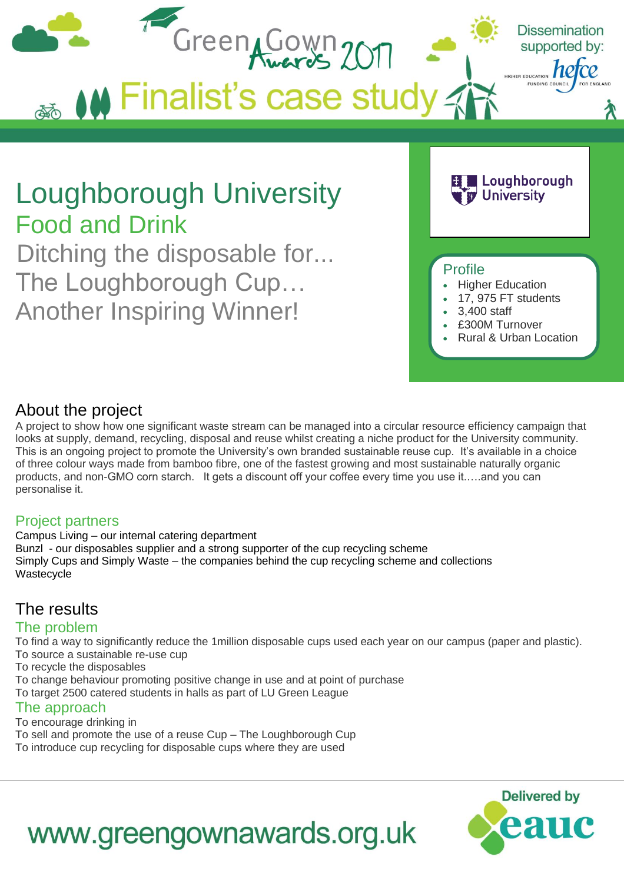

# About the project

A project to show how one significant waste stream can be managed into a circular resource efficiency campaign that looks at supply, demand, recycling, disposal and reuse whilst creating a niche product for the University community. This is an ongoing project to promote the University's own branded sustainable reuse cup. It's available in a choice of three colour ways made from bamboo fibre, one of the fastest growing and most sustainable naturally organic products, and non-GMO corn starch. It gets a discount off your coffee every time you use it.….and you can personalise it.

### Project partners

Campus Living – our internal catering department Bunzl - our disposables supplier and a strong supporter of the cup recycling scheme Simply Cups and Simply Waste – the companies behind the cup recycling scheme and collections Wastecycle

# The results

### The problem

To find a way to significantly reduce the 1million disposable cups used each year on our campus (paper and plastic). To source a sustainable re-use cup

To recycle the disposables

To change behaviour promoting positive change in use and at point of purchase

To target 2500 catered students in halls as part of LU Green League

### The approach

To encourage drinking in To sell and promote the use of a reuse Cup – The Loughborough Cup To introduce cup recycling for disposable cups where they are used



# www.greengownawards.org.uk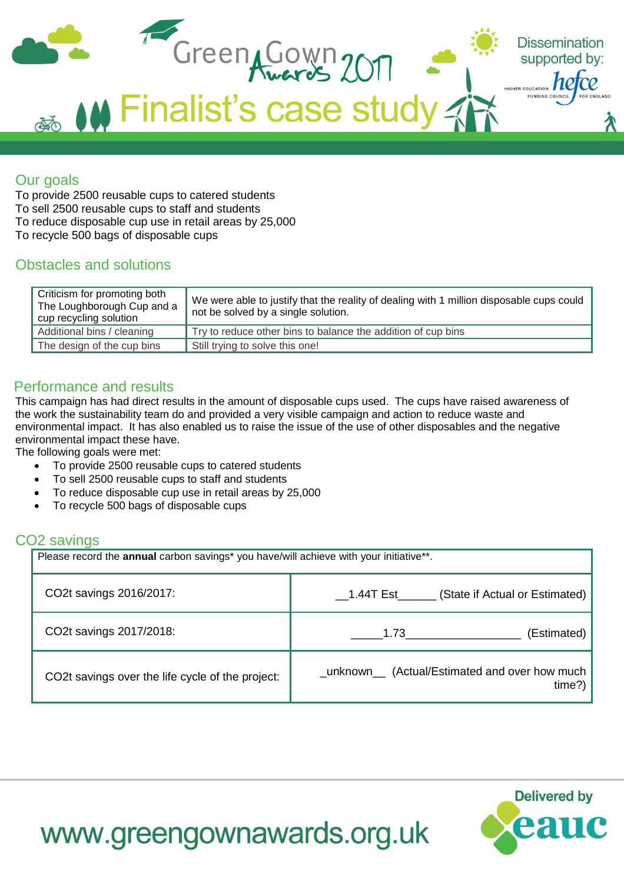

## Our goals

To provide 2500 reusable cups to catered students To sell 2500 reusable cups to staff and students To reduce disposable cup use in retail areas by 25,000 To recycle 500 bags of disposable cups

## Obstacles and solutions

| Criticism for promoting both<br>The Loughborough Cup and a<br>cup recycling solution | We were able to justify that the reality of dealing with 1 million disposable cups could<br>not be solved by a single solution. |
|--------------------------------------------------------------------------------------|---------------------------------------------------------------------------------------------------------------------------------|
| Additional bins / cleaning                                                           | Try to reduce other bins to balance the addition of cup bins                                                                    |
| The design of the cup bins                                                           | Still trying to solve this one!                                                                                                 |

# Performance and results

This campaign has had direct results in the amount of disposable cups used. The cups have raised awareness of the work the sustainability team do and provided a very visible campaign and action to reduce waste and environmental impact. It has also enabled us to raise the issue of the use of other disposables and the negative environmental impact these have.

The following goals were met:

- To provide 2500 reusable cups to catered students
- To sell 2500 reusable cups to staff and students
- To reduce disposable cup use in retail areas by 25,000
- To recycle 500 bags of disposable cups

### CO2 savings

Please record the **annual** carbon savings<sup>\*</sup> you have/will achieve with your initiative\*\*. CO2t savings 2016/2017: **Example 2016** 1.44T Est (State if Actual or Estimated) CO2t savings 2017/2018: **Extimated**) **CO2t** savings 2017/2018: **All in the same of the same of the same of the same of the same of the same of the same of the same of the same of the same of the same of the same of the sam** CO2t savings over the life cycle of the project: \_unknown\_\_ (Actual/Estimated and over how much time?)



# www.greengownawards.org.uk